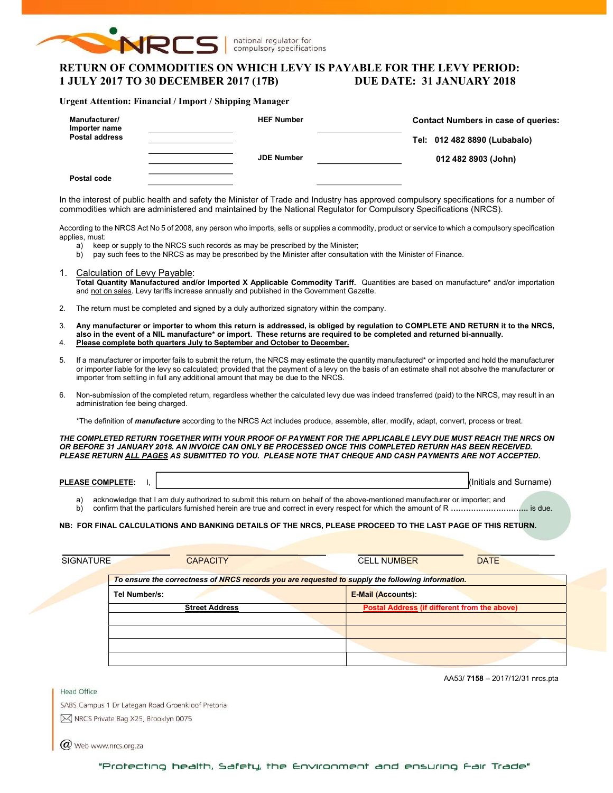

national regulator for compulsory specifications

# RETURN OF COMMODITIES ON WHICH LEVY IS PAYABLE FOR THE LEVY PERIOD: 1 JULY 2017 TO 30 DECEMBER 2017 (17B) DUE DATE: 31 JANUARY 2018

#### Urgent Attention: Financial / Import / Shipping Manager

| Manufacturer/<br>Importer name<br><b>Postal address</b> | <b>HEF Number</b> | <b>Contact Numbers in case of queries:</b><br>Tel: 012 482 8890 (Lubabalo) |
|---------------------------------------------------------|-------------------|----------------------------------------------------------------------------|
| Postal code                                             | <b>JDE Number</b> | 012 482 8903 (John)                                                        |

In the interest of public health and safety the Minister of Trade and Industry has approved compulsory specifications for a number of commodities which are administered and maintained by the National Regulator for Compulsory Specifications (NRCS).

According to the NRCS Act No 5 of 2008, any person who imports, sells or supplies a commodity, product or service to which a compulsory specification applies, must:

- a) keep or supply to the NRCS such records as may be prescribed by the Minister;
- b) pay such fees to the NRCS as may be prescribed by the Minister after consultation with the Minister of Finance.
- 1. Calculation of Levy Payable: Total Quantity Manufactured and/or Imported X Applicable Commodity Tariff. Quantities are based on manufacture\* and/or importation and not on sales. Levy tariffs increase annually and published in the Government Gazette.
- 2. The return must be completed and signed by a duly authorized signatory within the company.
- 3. Any manufacturer or importer to whom this return is addressed, is obliged by regulation to COMPLETE AND RETURN it to the NRCS, also in the event of a NIL manufacture\* or import. These returns are required to be completed and returned bi-annually. 4. Please complete both quarters July to September and October to December.
- 5. If a manufacturer or importer fails to submit the return, the NRCS may estimate the quantity manufactured\* or imported and hold the manufacturer or importer liable for the levy so calculated; provided that the payment of a levy on the basis of an estimate shall not absolve the manufacturer or importer from settling in full any additional amount that may be due to the NRCS.
- 6. Non-submission of the completed return, regardless whether the calculated levy due was indeed transferred (paid) to the NRCS, may result in an administration fee being charged.

\*The definition of *manufacture* according to the NRCS Act includes produce, assemble, alter, modify, adapt, convert, process or treat.

THE COMPLETED RETURN TOGETHER WITH YOUR PROOF OF PAYMENT FOR THE APPLICABLE LEVY DUE MUST REACH THE NRCS ON OR BEFORE 31 JANUARY 2018. AN INVOICE CAN ONLY BE PROCESSED ONCE THIS COMPLETED RETURN HAS BEEN RECEIVED. PLEASE RETURN ALL PAGES AS SUBMITTED TO YOU. PLEASE NOTE THAT CHEQUE AND CASH PAYMENTS ARE NOT ACCEPTED.

| <b>PLEASE COMPLETE</b><br>---- | and<br>Surnar |
|--------------------------------|---------------|
|                                |               |

a) acknowledge that I am duly authorized to submit this return on behalf of the above-mentioned manufacturer or importer; and b) confirm that the particulars furnished herein are true and correct in every respect for which the amount of R ………………………………… is due.

#### NB: FOR FINAL CALCULATIONS AND BANKING DETAILS OF THE NRCS, PLEASE PROCEED TO THE LAST PAGE OF THIS RETURN.

| <b>SIGNATURE</b> | <b>CAPACITY</b>                                                                                  | <b>CELL NUMBER</b>                           | <b>DATE</b> |
|------------------|--------------------------------------------------------------------------------------------------|----------------------------------------------|-------------|
|                  | To ensure the correctness of NRCS records you are requested to supply the following information. |                                              |             |
|                  | Tel Number/s:                                                                                    | <b>E-Mail (Accounts):</b>                    |             |
|                  | <b>Street Address</b>                                                                            | Postal Address (if different from the above) |             |
|                  |                                                                                                  |                                              |             |
|                  |                                                                                                  |                                              |             |
|                  |                                                                                                  |                                              |             |

AA53/ 7158 – 2017/12/31 nrcs.pta

SABS Campus 1 Dr Lategan Road Groenkloof Pretoria M NRCS Private Bag X25, Brooklyn 0075

 $(\alpha)$  Web www.nrcs.org.za

Head Office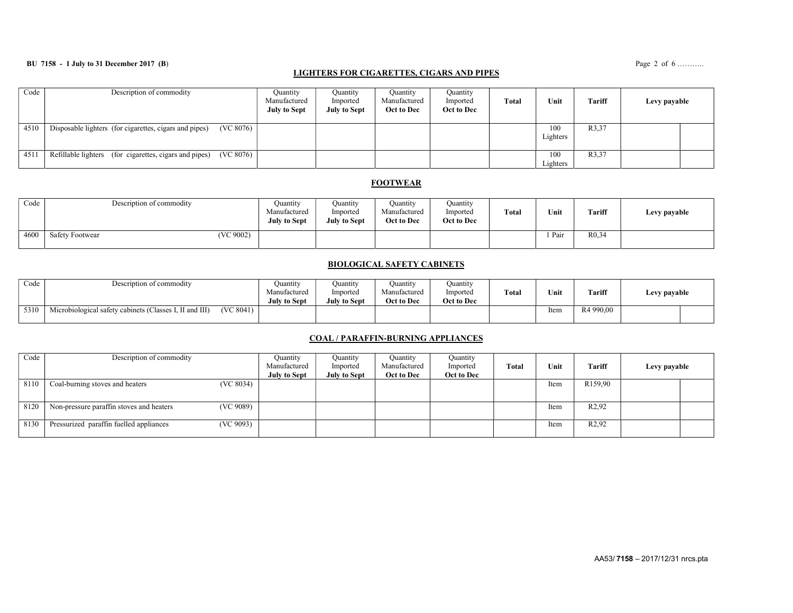### **BU 7158 - 1 July to 31 December 2017 (B)** Page 2 of 6 ……….

## LIGHTERS FOR CIGARETTES, CIGARS AND PIPES

| Code | Description of commodity                                            | Ouantity<br>Manufactured<br><b>July to Sept</b> | Quantity<br>Imported<br>July to Sept | Quantity<br>Manufactured<br>Oct to Dec | Ouantity<br>Imported<br>Oct to Dec | <b>Total</b> | Unit            | Tariff | Levy payable |
|------|---------------------------------------------------------------------|-------------------------------------------------|--------------------------------------|----------------------------------------|------------------------------------|--------------|-----------------|--------|--------------|
| 4510 | (VC 8076)<br>Disposable lighters (for cigarettes, cigars and pipes) |                                                 |                                      |                                        |                                    |              | 100<br>Lighters | R3,37  |              |
| 4511 | (VC 8076)<br>Refillable lighters (for cigarettes, cigars and pipes) |                                                 |                                      |                                        |                                    |              | 100<br>Lighters | R3,37  |              |

## **FOOTWEAR**

| Code | Description of commodity |           | Quantity<br>Manufactured<br><b>July to Sept</b> | Quantity<br>Imported<br><b>July to Sept</b> | Quantity<br>Manufactured<br>Oct to Dec | Quantity<br>Imported<br>Oct to Dec | Total | Unit | Tariff             | Levy payable |
|------|--------------------------|-----------|-------------------------------------------------|---------------------------------------------|----------------------------------------|------------------------------------|-------|------|--------------------|--------------|
| 4600 | <b>Safety Footwear</b>   | (VC 9002) |                                                 |                                             |                                        |                                    |       | Pair | R <sub>0</sub> ,34 |              |

### BIOLOGICAL SAFETY CABINETS

| Code | Description of commodity                                            |           | Juantity<br>Manufactured<br><b>July to Sept</b> | Ouantity<br>Imported<br>July to Sept | Quantity<br>Manufactured<br>Oct to Dec | Quantity<br>Imported<br>Oct to Dec | Total | Unit | <b>Tariff</b>         | Levy payable |  |
|------|---------------------------------------------------------------------|-----------|-------------------------------------------------|--------------------------------------|----------------------------------------|------------------------------------|-------|------|-----------------------|--------------|--|
| 5310 | $\cdots$<br>Microbiological safety cabinets (Classes I, II and III) | (VC 8041) |                                                 |                                      |                                        |                                    |       | Item | R <sub>4</sub> 990.00 |              |  |

### COAL / PARAFFIN-BURNING APPLIANCES

| Code | Description of commodity                              | Ouantity<br>Manufactured | Ouantity<br>Imported | Quantity<br>Manufactured | Quantity<br>Imported | <b>Total</b> | Unit | <b>Tariff</b>       | Levy payable |  |
|------|-------------------------------------------------------|--------------------------|----------------------|--------------------------|----------------------|--------------|------|---------------------|--------------|--|
|      |                                                       | <b>July to Sept</b>      | July to Sept         | Oct to Dec               | Oct to Dec           |              |      |                     |              |  |
| 8110 | (VC 8034)<br>Coal-burning stoves and heaters          |                          |                      |                          |                      |              | Item | R <sub>159,90</sub> |              |  |
|      |                                                       |                          |                      |                          |                      |              |      |                     |              |  |
| 8120 | (VC 9089)<br>Non-pressure paraffin stoves and heaters |                          |                      |                          |                      |              | Item | R <sub>2</sub> ,92  |              |  |
| 8130 | Pressurized paraffin fuelled appliances<br>(VC 9093)  |                          |                      |                          |                      |              | Item | R <sub>2</sub> ,92  |              |  |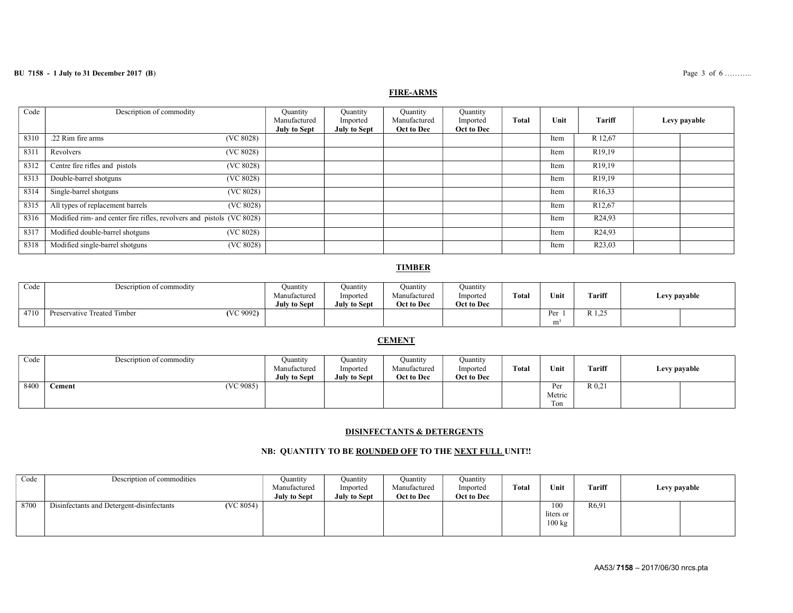## BU 7158 - 1 July to 31 December 2017 (B) Page 3 of 6 ..........

## FIRE-ARMS

| Code | Description of commodity                                              | Quantity<br>Manufactured<br><b>July to Sept</b> | Quantity<br>Imported<br><b>July to Sept</b> | <b>Quantity</b><br>Manufactured<br>Oct to Dec | Quantity<br>Imported<br>Oct to Dec | <b>Total</b> | Unit | Tariff               | Levy payable |
|------|-----------------------------------------------------------------------|-------------------------------------------------|---------------------------------------------|-----------------------------------------------|------------------------------------|--------------|------|----------------------|--------------|
| 8310 | .22 Rim fire arms<br>(VC 8028)                                        |                                                 |                                             |                                               |                                    |              | Item | R 12,67              |              |
| 831  | (VC 8028)<br>Revolvers                                                |                                                 |                                             |                                               |                                    |              | Item | R <sub>19</sub> ,19  |              |
| 8312 | Centre fire rifles and pistols<br>(VC 8028)                           |                                                 |                                             |                                               |                                    |              | Item | R <sub>19</sub> ,19  |              |
| 8313 | Double-barrel shotguns<br>(VC 8028)                                   |                                                 |                                             |                                               |                                    |              | Item | R <sub>19</sub> ,19  |              |
| 8314 | Single-barrel shotguns<br>(VC 8028)                                   |                                                 |                                             |                                               |                                    |              | Item | R <sub>16</sub> , 33 |              |
| 8315 | All types of replacement barrels<br>(VC 8028)                         |                                                 |                                             |                                               |                                    |              | Item | R <sub>12</sub> ,67  |              |
| 8316 | Modified rim- and center fire rifles, revolvers and pistols (VC 8028) |                                                 |                                             |                                               |                                    |              | Item | R <sub>24,93</sub>   |              |
| 8317 | Modified double-barrel shotguns<br>(VC 8028)                          |                                                 |                                             |                                               |                                    |              | Item | R <sub>24</sub> ,93  |              |
| 8318 | Modified single-barrel shotguns<br>(VC 8028)                          |                                                 |                                             |                                               |                                    |              | Item | R <sub>23</sub> ,03  |              |

## TIMBER

| Code | Description of commodity                 | Quantity<br>Manufactured<br><b>July to Sept</b> | Ouantity<br>Imported<br><b>July to Sept</b> | Ouantity<br>Manufactured<br>Oct to Dec | Ouantıty<br>Imported<br>Oct to Dec | Total | Unit                  | Tariff                     | Levy payable |  |
|------|------------------------------------------|-------------------------------------------------|---------------------------------------------|----------------------------------------|------------------------------------|-------|-----------------------|----------------------------|--------------|--|
| 4710 | (VC 9092)<br>Preservative Treated Timber |                                                 |                                             |                                        |                                    |       | Per<br>m <sup>3</sup> | $D$ 1 $25$<br>$\mathbf{R}$ |              |  |

## **CEMENT**

| Code | Description of commodity | Ouantity            | Ouantity            | Quantity     | Ouantity   |              |                                       |        |              |
|------|--------------------------|---------------------|---------------------|--------------|------------|--------------|---------------------------------------|--------|--------------|
|      |                          | Manufactured        | Imported            | Manufactured | Imported   | <b>Total</b> | Unit<br>the company of the company of | Tariff | Levy payable |
|      |                          | <b>July to Sept</b> | <b>July to Sept</b> | Oct to Dec   | Oct to Dec |              |                                       |        |              |
| 8400 | (VC 9085)<br>Cement      |                     |                     |              |            |              | Per                                   | R 0.21 |              |
|      |                          |                     |                     |              |            |              | Metric                                |        |              |
|      |                          |                     |                     |              |            |              | Ton                                   |        |              |

## DISINFECTANTS & DETERGENTS

# NB: QUANTITY TO BE ROUNDED OFF TO THE NEXT FULL UNIT!!

| Code | Description of commodities                             | Quantity<br>Manufactured<br><b>July to Sept</b> | Quantity<br>Imported<br><b>July to Sept</b> | Ouantity<br>Manufactured<br>Oct to Dec | Quantity<br>Imported<br>Oct to Dec | Total | Unit                                 | <b>Tariff</b>      | Levy payable |  |
|------|--------------------------------------------------------|-------------------------------------------------|---------------------------------------------|----------------------------------------|------------------------------------|-------|--------------------------------------|--------------------|--------------|--|
| 8700 | (VC 8054)<br>Disinfectants and Detergent-disinfectants |                                                 |                                             |                                        |                                    |       | 100<br>liters or<br>$100 \text{ kg}$ | R <sub>6</sub> ,91 |              |  |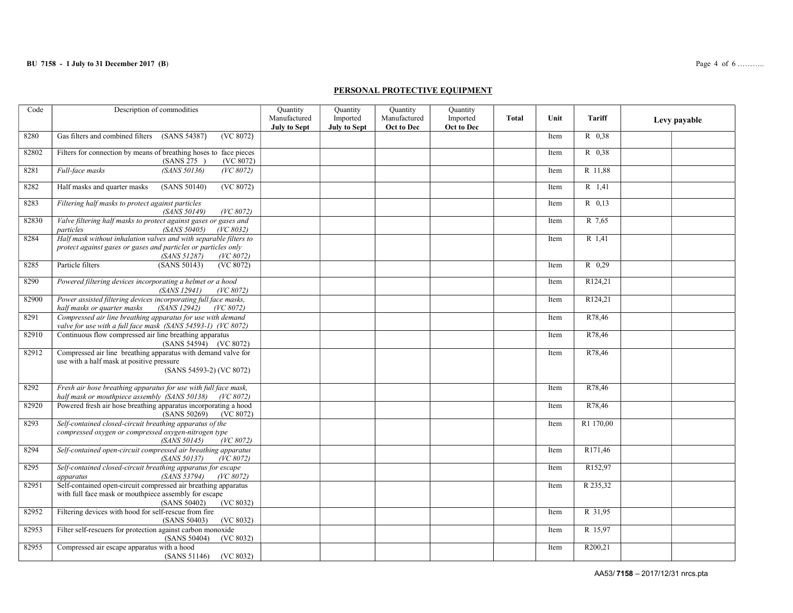#### PERSONAL PROTECTIVE EQUIPMENT

| Code  | Description of commodities                                                                                                                                       | Quantity<br>Manufactured<br><b>July to Sept</b> | Quantity<br>Imported<br><b>July to Sept</b> | Quantity<br>Manufactured<br>Oct to Dec | Quantity<br>Imported<br>Oct to Dec | <b>Total</b> | Unit | <b>Tariff</b>       | Levy payable |
|-------|------------------------------------------------------------------------------------------------------------------------------------------------------------------|-------------------------------------------------|---------------------------------------------|----------------------------------------|------------------------------------|--------------|------|---------------------|--------------|
| 8280  | Gas filters and combined filters<br>(SANS 54387)<br>(VC 8072)                                                                                                    |                                                 |                                             |                                        |                                    |              | Item | R 0.38              |              |
| 82802 | Filters for connection by means of breathing hoses to face pieces<br>(VC 8072)<br>(SANS 275)                                                                     |                                                 |                                             |                                        |                                    |              | Item | R 0,38              |              |
| 8281  | (SANS 50136)<br>Full-face masks<br>(VC 8072)                                                                                                                     |                                                 |                                             |                                        |                                    |              | Item | R 11,88             |              |
| 8282  | Half masks and quarter masks<br>(SANS 50140)<br>(VC 8072)                                                                                                        |                                                 |                                             |                                        |                                    |              | Item | $R$ 1,41            |              |
| 8283  | Filtering half masks to protect against particles<br>(SANS 50149)<br>(VC 8072)                                                                                   |                                                 |                                             |                                        |                                    |              | Item | $R$ 0,13            |              |
| 82830 | Valve filtering half masks to protect against gases or gases and<br>(SANS 50405)<br>(VC 8032)<br>particles                                                       |                                                 |                                             |                                        |                                    |              | Item | R 7,65              |              |
| 8284  | Half mask without inhalation valves and with separable filters to<br>protect against gases or gases and particles or particles only<br>(SANS 51287)<br>(VC 8072) |                                                 |                                             |                                        |                                    |              | Item | R 1,41              |              |
| 8285  | Particle filters<br>(SANS 50143)<br>(VC 8072)                                                                                                                    |                                                 |                                             |                                        |                                    |              | Item | R 0,29              |              |
| 8290  | Powered filtering devices incorporating a helmet or a hood<br>(SANS 12941)<br>(VC 8072)                                                                          |                                                 |                                             |                                        |                                    |              | Item | R124,21             |              |
| 82900 | Power assisted filtering devices incorporating full face masks,<br>half masks or quarter masks<br><i>(SANS 12942)</i><br>(VC 8072)                               |                                                 |                                             |                                        |                                    |              | Item | R124,21             |              |
| 8291  | Compressed air line breathing apparatus for use with demand<br>valve for use with a full face mask (SANS 54593-1) (VC 8072)                                      |                                                 |                                             |                                        |                                    |              | Item | R78,46              |              |
| 82910 | Continuous flow compressed air line breathing apparatus<br>(SANS 54594) (VC 8072)                                                                                |                                                 |                                             |                                        |                                    |              | Item | R78,46              |              |
| 82912 | Compressed air line breathing apparatus with demand valve for<br>use with a half mask at positive pressure<br>(SANS 54593-2) (VC 8072)                           |                                                 |                                             |                                        |                                    |              | Item | R78,46              |              |
| 8292  | Fresh air hose breathing apparatus for use with full face mask,<br>half mask or mouthpiece assembly (SANS 50138) (VC 8072)                                       |                                                 |                                             |                                        |                                    |              | Item | R78,46              |              |
| 82920 | Powered fresh air hose breathing apparatus incorporating a hood<br>(SANS 50269)<br>(VC 8072)                                                                     |                                                 |                                             |                                        |                                    |              | Item | R78,46              |              |
| 8293  | Self-contained closed-circuit breathing apparatus of the<br>compressed oxygen or compressed oxygen-nitrogen type<br>(SANS 50145)<br>(VC 8072)                    |                                                 |                                             |                                        |                                    |              | Item | R1 170,00           |              |
| 8294  | Self-contained open-circuit compressed air breathing apparatus<br>(SANS 50137)<br>(VC 8072)                                                                      |                                                 |                                             |                                        |                                    |              | Item | R <sub>171,46</sub> |              |
| 8295  | Self-contained closed-circuit breathing apparatus for escape<br>(SANS 53794)<br>apparatus<br>(VC 8072)                                                           |                                                 |                                             |                                        |                                    |              | Item | R152,97             |              |
| 82951 | Self-contained open-circuit compressed air breathing apparatus<br>with full face mask or mouthpiece assembly for escape<br>(SANS 50402)<br>(VC 8032)             |                                                 |                                             |                                        |                                    |              | Item | R 235,32            |              |
| 82952 | Filtering devices with hood for self-rescue from fire<br>(SANS 50403)<br>(VC 8032)                                                                               |                                                 |                                             |                                        |                                    |              | Item | R 31,95             |              |
| 82953 | Filter self-rescuers for protection against carbon monoxide<br>(SANS 50404)<br>(VC 8032)                                                                         |                                                 |                                             |                                        |                                    |              | Item | R 15,97             |              |
| 82955 | Compressed air escape apparatus with a hood<br>(VC 8032)<br>(SANS 51146)                                                                                         |                                                 |                                             |                                        |                                    |              | Item | R200,21             |              |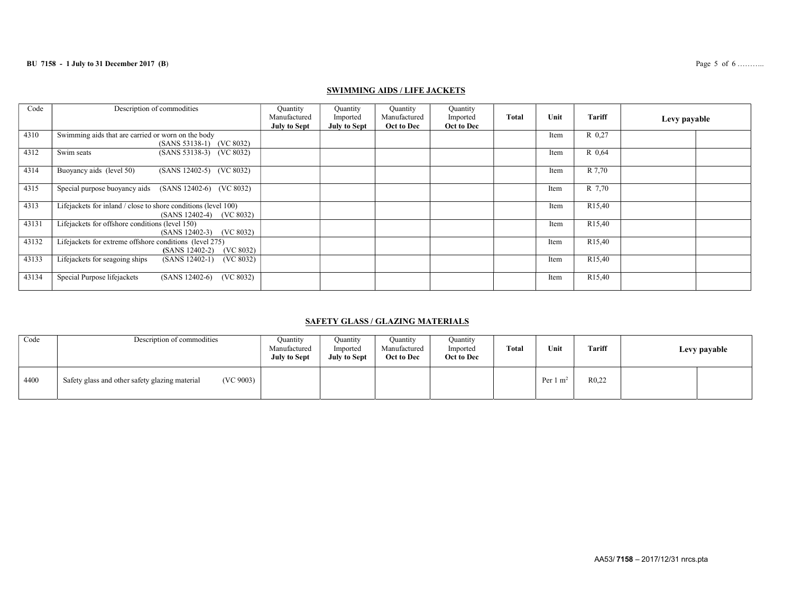### **BU 7158 - 1 July to 31 December 2017 (B)** Page 5 of 6 ……….

## SWIMMING AIDS / LIFE JACKETS

| Code  | Description of commodities                                                                     | Quantity<br>Manufactured<br><b>July to Sept</b> | Ouantity<br>Imported<br><b>July to Sept</b> | Quantity<br>Manufactured<br>Oct to Dec | Quantity<br>Imported<br>Oct to Dec | <b>Total</b> | Unit | Tariff              | Levy payable |
|-------|------------------------------------------------------------------------------------------------|-------------------------------------------------|---------------------------------------------|----------------------------------------|------------------------------------|--------------|------|---------------------|--------------|
| 4310  | Swimming aids that are carried or worn on the body<br>(SANS 53138-1) (VC 8032)                 |                                                 |                                             |                                        |                                    |              | Item | R 0.27              |              |
| 4312  | Swim seats<br>(SANS 53138-3) (VC 8032)                                                         |                                                 |                                             |                                        |                                    |              | Item | R 0.64              |              |
| 4314  | Buoyancy aids (level 50)<br>(SANS 12402-5) (VC 8032)                                           |                                                 |                                             |                                        |                                    |              | Item | R 7,70              |              |
| 4315  | Special purpose buoyancy aids<br>$(SANS 12402-6)$ $(VC 8032)$                                  |                                                 |                                             |                                        |                                    |              | Item | R 7,70              |              |
| 4313  | Lifejackets for inland / close to shore conditions (level 100)<br>$(SANS 12402-4)$ $(VC 8032)$ |                                                 |                                             |                                        |                                    |              | Item | R <sub>15</sub> ,40 |              |
| 43131 | Lifejackets for offshore conditions (level 150)<br>(VC 8032)<br>$(SANS 12402-3)$               |                                                 |                                             |                                        |                                    |              | Item | R <sub>15</sub> ,40 |              |
| 43132 | Lifejackets for extreme offshore conditions (level 275)<br>(VC 8032)<br>$(SANS 12402-2)$       |                                                 |                                             |                                        |                                    |              | Item | R <sub>15</sub> ,40 |              |
| 43133 | Lifejackets for seagoing ships<br>$(SANS 12402-1)$<br>(VC 8032)                                |                                                 |                                             |                                        |                                    |              | Item | R <sub>15</sub> ,40 |              |
| 43134 | Special Purpose lifejackets<br>$(SANS 12402-6)$<br>(VC 8032)                                   |                                                 |                                             |                                        |                                    |              | Item | R <sub>15</sub> ,40 |              |

# SAFETY GLASS / GLAZING MATERIALS

| Code | Description of commodities                                  | Ouantity<br>Manufactured<br><b>July to Sept</b> | Ouantitv<br>Imported<br><b>July to Sept</b> | Quantity<br>Manufactured<br>Oct to Dec | Quantity<br>Imported<br>Oct to Dec | <b>Total</b> | Unit                | <b>Tariff</b> | Levy payable |  |
|------|-------------------------------------------------------------|-------------------------------------------------|---------------------------------------------|----------------------------------------|------------------------------------|--------------|---------------------|---------------|--------------|--|
| 4400 | (VC 9003)<br>Safety glass and other safety glazing material |                                                 |                                             |                                        |                                    |              | Per $1 \text{ m}^2$ | R0,22         |              |  |